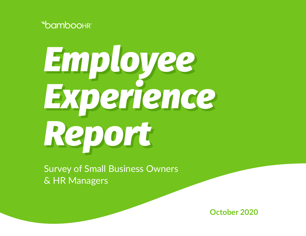



Survey of Small Business Owners & HR Managers

**October 2020**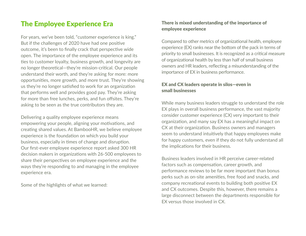#### The Employee Experience Era

For years, we've been told, "customer experience is king." But if the challenges of 2020 have had one positive outcome, it's been to finally crack that perspective wide open. The importance of the employee experience and its ties to customer loyalty, business growth, and longevity are no longer theoretical—they're mission-critical. Our people understand their worth, and they're asking for more: more opportunities, more growth, and more trust. They're showing us they're no longer satisfied to work for an organization that performs well and provides good pay. They're asking for more than free lunches, perks, and fun offsites. They're asking to be seen as the true contributors they are.

Delivering a quality employee experience means empowering your people, aligning your motivations, and creating shared values. At BambooHR, we believe employee experience is the foundation on which you build your business, especially in times of change and disruption. Our first-ever employee experience report asked 300 HR decision makers in organizations with 26-500 employees to share their perspectives on employee experience and the ways they're responding to and managing in the employee experience era.

Some of the highlights of what we learned:

#### There is mixed understanding of the importance of employee experience

Compared to other metrics of organizational health, employee experience (EX) ranks near the bottom of the pack in terms of priority to small businesses. It is recognized as a critical measure of organizational health by less than half of small business owners and HR leaders, reflecting a misunderstanding of the importance of EX in business performance.

#### EX and CX leaders operate in silos—even in small businesses

While many business leaders struggle to understand the role EX plays in overall business performance, the vast majority consider customer experience (CX) very important to their organization, and many say EX has a meaningful impact on CX at their organization. Business owners and managers seem to understand intuitively that happy employees make for happy customers, even if they do not fully understand all the implications for their business.

Business leaders involved in HR perceive career-related factors such as compensation, career growth, and performance reviews to be far more important than bonus perks such as on-site amenities, free food and snacks, and company recreational events to building both positive EX and CX outcomes. Despite this, however, there remains a large disconnect between the departments responsible for EX versus those involved in CX.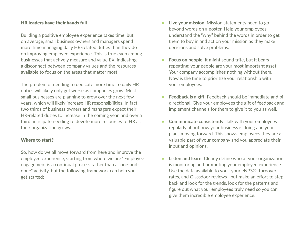#### HR leaders have their hands full

Building a positive employee experience takes time, but, on average, small business owners and managers spend more time managing daily HR-related duties than they do on improving employee experience. This is true even among businesses that actively measure and value EX, indicating a disconnect between company values and the resources available to focus on the areas that matter most.

The problem of needing to dedicate more time to daily HR duties will likely only get worse as companies grow. Most small businesses are planning to grow over the next few years, which will likely increase HR responsibilities. In fact, two thirds of business owners and managers expect their HR-related duties to increase in the coming year, and over a third anticipate needing to devote more resources to HR as their organization grows.

#### Where to start?

So, how do we all move forward from here and improve the employee experience, starting from where we are? Employee engagement is a continual process rather than a "one-anddone" activity, but the following framework can help you get started:

- **Live your mission**: Mission statements need to go beyond words on a poster. Help your employees understand the "why" behind the words in order to get them to buy in and act on your mission as they make decisions and solve problems.
- **• Focus on people**: It might sound trite, but it bears repeating: your people are your most important asset. Your company accomplishes nothing without them. Now is the time to prioritize your relationship with your employees.
- **• Feedback is a gift**: Feedback should be immediate and bidirectional. Give your employees the gift of feedback and implement channels for them to give it to you as well.
- **• Communicate consistently**: Talk with your employees regularly about how your business is doing and your plans moving forward. This shows employees they are a valuable part of your company and you appreciate their input and opinions.
- **• Listen and learn**: Clearly define who at your organization is monitoring and promoting your employee experience. Use the data available to you—your eNPS®, turnover rates, and Glassdoor reviews—but make an effort to step back and look for the trends, look for the patterns and figure out what your employees truly need so you can give them incredible employee experience.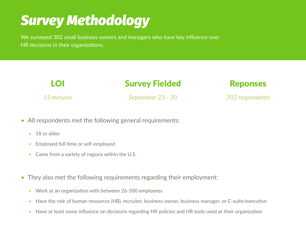## *Survey Methodology*

We surveyed 302 small business owners and managers who have key influence over HR decisions in their organizations.

| LOI        | <b>Survey Fielded</b> | <b>Reponses</b> |  |
|------------|-----------------------|-----------------|--|
| 15 minutes | September 23 - 30     | 302 respondents |  |

- All respondents met the following general requirements:
	- 18 or older
	- Employed full time or self-employed
	- Came from a variety of regions within the U.S.
- They also met the following requirements regarding their employment:
	- Work at an organization with between 26-500 employees
	- Have the role of human resources (HR), recruiter, business owner, business manager, or C-suite/executive
	- Have at least some influence on decisions regarding HR policies and HR tools used at their organization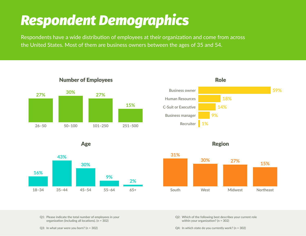## *Respondent Demographics*

Respondents have a wide distribution of employees at their organization and come from across the United States. Most of them are business owners between the ages of 35 and 54.













**Q1: Please indicate the total number of employees in your organization (including all locations). (n = 302)**

**Q3: In what year were you born? (n = 302)**

**Q2: Which of the following best describes your current role within your organization? (n = 302)**

**Q4: In which state do you currently work? (n = 302)**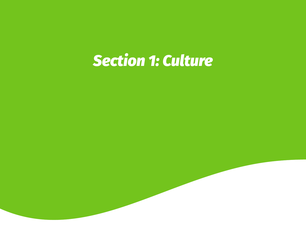# *Section 1: Culture*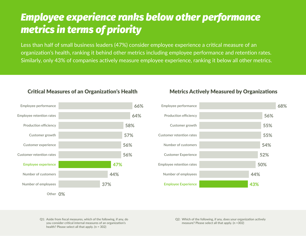### *Employee experience ranks below other performance metrics in terms of priority*

Less than half of small business leaders (47%) consider employee experience a critical measure of an organization's health, ranking it behind other metrics including employee performance and retention rates. Similarly, only 43% of companies actively measure employee experience, ranking it below all other metrics.

#### Critical Measures of an Organization's Health



#### Metrics Actively Measured by Organizations



**Q1: Aside from fiscal measures, which of the following, if any, do you consider critical internal measures of an organization's health? Please select all that apply. (n = 302)**

**Q2: Which of the following, if any, does your organization actively measure? Please select all that apply. (n =302)**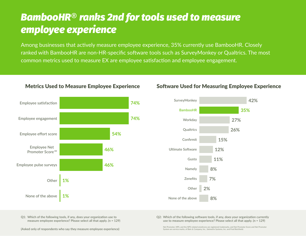### *BambooHR*® *ranks 2nd for tools used to measure employee experience*

Among businesses that actively measure employee experience, 35% currently use BambooHR. Closely ranked with BambooHR are non-HR-specific software tools such as SurveyMonkey or Qualtrics. The most common metrics used to measure EX are employee satisfaction and employee engagement.



#### Metrics Used to Measure Employee Experience



#### Software Used for Measuring Employee Experience

**Q1: Which of the following tools, if any, does your organization use to measure employee experience? Please select all that apply. (n = 129)** **Q2: Which of the following software tools, if any, does your organization currently use to measure employee experience? Please select all that apply. (n = 129)**

**Net Promoter, NPS, and the NPS-related emoticons are registered trademarks, and Net Promoter Score and Net Promoter System are service marks, of Bain & Company, Inc., Satmetrix Systems, Inc. and Fred Reichheld.**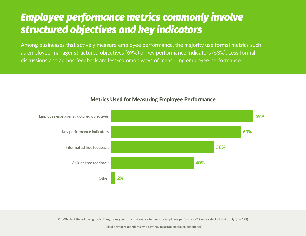### *Employee performance metrics commonly involve structured objectives and key indicators*

Among businesses that actively measure employee performance, the majority use formal metrics such as employee-manager structured objectives (69%) or key performance indicators (63%). Less formal discussions and ad hoc feedback are less-common ways of measuring employee performance.



#### Metrics Used for Measuring Employee Performance

**Q: Which of the following tools, if any, does your organization use to measure employee performance? Please select all that apply. (n = 129)**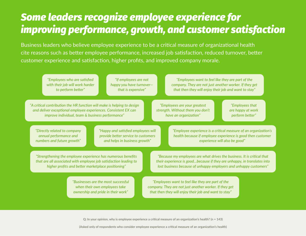### *Some leaders recognize employee experience for improving performance, growth, and customer satisfaction*

Business leaders who believe employee experience to be a critical measure of organizational health cite reasons such as better employee performance, increased job satisfaction, reduced turnover, better customer experience and satisfaction, higher profits, and improved company morale.

| "Employees who are satisfied<br>with their job will work harder<br>to perform better"                                                                                                                                                                                                                                                                                                                              | "If employees are not<br>happy you have turnover-<br>that is expensive"                                     |  | "Employees want to feel like they are part of the<br>company. They are not just another worker. If they get<br>that then they will enjoy their job and want to stay" |                                                                                                                                                                 |  |
|--------------------------------------------------------------------------------------------------------------------------------------------------------------------------------------------------------------------------------------------------------------------------------------------------------------------------------------------------------------------------------------------------------------------|-------------------------------------------------------------------------------------------------------------|--|----------------------------------------------------------------------------------------------------------------------------------------------------------------------|-----------------------------------------------------------------------------------------------------------------------------------------------------------------|--|
| "A critical contribution the HR function will make is helping to design<br>"Employees are your greatest<br>"Employees that<br>and deliver exceptional employee experiences. Consistent EX can<br>strength. Without them you don't<br>are happy at work<br>improve individual, team & business performance"<br>have an organization"<br>perform better"                                                             |                                                                                                             |  |                                                                                                                                                                      |                                                                                                                                                                 |  |
| "Directly related to company<br>annual performance and<br>numbers and future growth"                                                                                                                                                                                                                                                                                                                               | "Happy and satisfied employees will<br>provide better service to customers<br>and helps in business growth" |  |                                                                                                                                                                      | "Employee experience is a critical measure of an organization's<br>health because if employee experience is good then customer<br>experience will also be good" |  |
| "Strengthening the employee experience has numerous benefits<br>"Because my employees are what drives the business. It is critical that<br>that are all associated with employee job satisfaction leading to<br>their experience is goodbecause if they are unhappy, in translates into<br>higher profits and better marketplace positioning"<br>lost business because of unhappy employers and unhappy customers" |                                                                                                             |  |                                                                                                                                                                      |                                                                                                                                                                 |  |
|                                                                                                                                                                                                                                                                                                                                                                                                                    | "Businesses are the most successful<br>when their own employees take<br>ownership and pride in their work"  |  | "Employees want to feel like they are part of the<br>company. They are not just another worker. If they get<br>that then they will enjoy their job and want to stay" |                                                                                                                                                                 |  |

**Q: In your opinion, why is employee experience a critical measure of an organization's health? (n = 143)**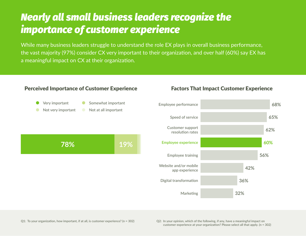### *Nearly all small business leaders recognize the importance of customer experience*

While many business leaders struggle to understand the role EX plays in overall business performance, the vast majority (97%) consider CX very important to their organization, and over half (60%) say EX has a meaningful impact on CX at their organization.



#### Perceived Importance of Customer Experience Factors That Impact Customer Experience

**customer experience at your organization? Please select all that apply. (n = 302)**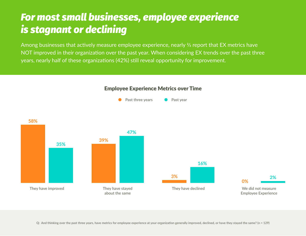### *For most small businesses, employee experience is stagnant or declining*

Among businesses that actively measure employee experience, nearly <sup>2</sup>/<sub>3</sub> report that EX metrics have NOT improved in their organization over the past year. When considering EX trends over the past three years, nearly half of these organizations (42%) still reveal opportunity for improvement.



#### Employee Experience Metrics over Time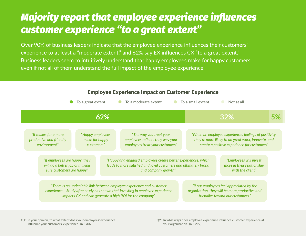### *Majority report that employee experience influences customer experience "to a great extent"*

Over 90% of business leaders indicate that the employee experience influences their customers' experience to at least a "moderate extent," and 62% say EX influences CX "to a great extent." Business leaders seem to intuitively understand that happy employees make for happy customers, even if not all of them understand the full impact of the employee experience.



#### Employee Experience Impact on Customer Experience

**Q1: In your opinion, to what extent does your employees' experience influence your customers' experience? (n = 302)**

**Q2: In what ways does employee experience influence customer experience at your organization? (n = 299)**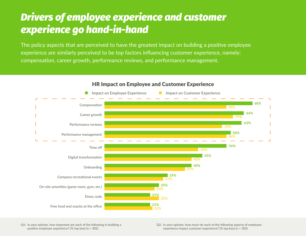### *Drivers of employee experience and customer experience go hand-in-hand*

The policy aspects that are perceived to have the greatest impact on building a positive employee experience are similarly perceived to be top factors influencing customer experience, namely: compensation, career growth, performance reviews, and performance management.



#### HR Impact on Employee and Customer Experience

**Q1: In your opinion, how important are each of the following in building a positive employee experience? (% top box) (n = 302)**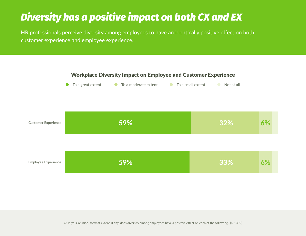### *Diversity has a positive impact on both CX and EX*

HR professionals perceive diversity among employees to have an identically positive effect on both customer experience and employee experience.

#### Workplace Diversity Impact on Employee and Customer Experience

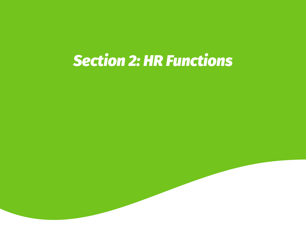# *Section 2: HR Functions*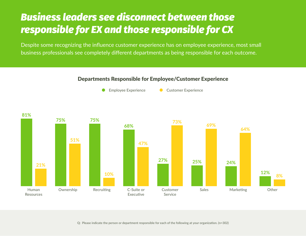### *Business leaders see disconnect between those responsible for EX and those responsible for CX*

Despite some recognizing the influence customer experience has on employee experience, most small business professionals see completely different departments as being responsible for each outcome.

#### Departments Responsible for Employee/Customer Experience

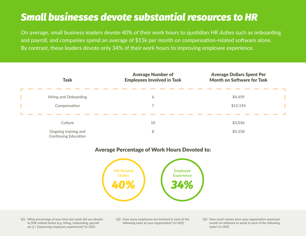### *Small businesses devote substantial resources to HR*

On average, small business leaders devote 40% of their work hours to quotidian HR duties such as onboarding and payroll, and companies spend an average of \$15k per month on compensation-related software alone. By contrast, these leaders devote only 34% of their work hours to improving employee experience.

| <b>Task</b> |                                                     | <b>Average Number of</b><br><b>Employees Involved in Task</b> | <b>Average Dollars Spent Per</b><br><b>Month on Software for Task</b> |  |
|-------------|-----------------------------------------------------|---------------------------------------------------------------|-----------------------------------------------------------------------|--|
|             |                                                     |                                                               |                                                                       |  |
|             | <b>Hiring and Onboarding</b>                        | 6                                                             | \$4,459                                                               |  |
|             | Compensation                                        |                                                               | \$15,194                                                              |  |
|             |                                                     |                                                               |                                                                       |  |
|             | Culture                                             | 10                                                            | \$3,036                                                               |  |
|             | Ongoing training and<br><b>Continuing Education</b> | 8                                                             | \$4,358                                                               |  |

#### Average Percentage of Work Hours Devoted to:



**Q1: What percentage of your time last week did you devote to [HR-related duties (e.g. hiring, onboarding, payroll, etc.)] / [improving employee experience]? (n=302)**

**Q2: How many employees are involved in each of the following tasks at your organization? (n=302)**

**Q3: How much money does your organization spend per month on software to assist in each of the following tasks? (n=302)**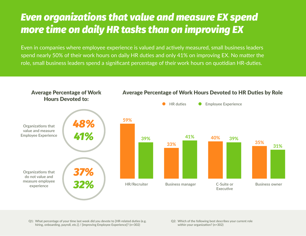### *Even organizations that value and measure EX spend more time on daily HR tasks than on improving EX*

Even in companies where employee experience is valued and actively measured, small business leaders spend nearly 50% of their work hours on daily HR duties and only 41% on improving EX. No matter the role, small business leaders spend a significant percentage of their work hours on quotidian HR-duties.



**Q1: What percentage of your time last week did you devote to [HR-related duties (e.g. hiring, onboarding, payroll, etc.)] / [improving Employee Experience]? (n=302)**

**Q2: Which of the following best describes your current role within your organization? (n=302)**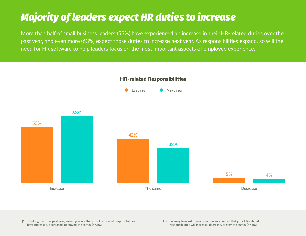## *Majority of leaders expect HR duties to increase*

More than half of small business leaders (53%) have experienced an increase in their HR-related duties over the past year, and even more (63%) expect those duties to increase next year. As responsibilities expand, so will the need for HR software to help leaders focus on the most important aspects of employee experience.



**Q1: Thinking over this past year, would you say that your HR-related responsibilities have increased, decreased, or stayed the same? (n=302)**

**Q2: Looking forward to next year, do you predict that your HR-related responsibilities will increase, decrease, or stay the same? (n=302)**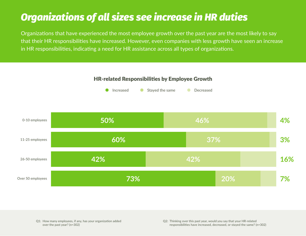### *Organizations of all sizes see increase in HR duties*

Organizations that have experienced the most employee growth over the past year are the most likely to say that their HR responsibilities have increased. However, even companies with less growth have seen an increase in HR responsibilities, indicating a need for HR assistance across all types of organizations.

#### HR-related Responsibilities by Employee Growth





**Q1: How many employees, if any, has your organization added over the past year? (n=302)**

**Q2: Thinking over this past year, would you say that your HR-related responsibilities have increased, decreased, or stayed the same? (n=302)**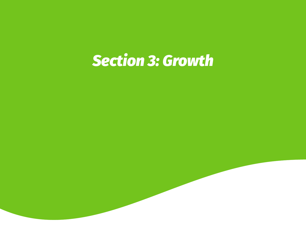# *Section 3: Growth*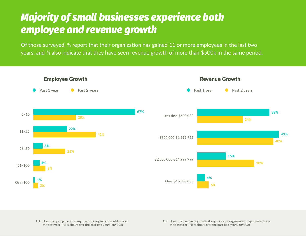### *Majority of small businesses experience both employee and revenue growth*

Of those surveyed, ¾ report that their organization has gained 11 or more employees in the last two years, and ¾ also indicate that they have seen revenue growth of more than \$500k in the same period.



**Q1: How many employees, if any, has your organization added over the past year? How about over the past two years? (n=302)**

**Q2: How much revenue growth, if any, has your organization experienced over the past year? How about over the past two years? (n=302)**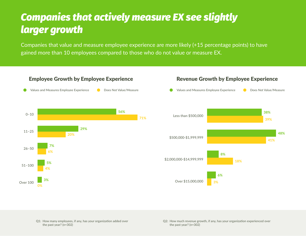### *Companies that actively measure EX see slightly larger growth*

Companies that value and measure employee experience are more likely (+15 percentage points) to have gained more than 10 employees compared to those who do not value or measure EX.



**Q1: How many employees, if any, has your organization added over the past year? (n=302)**

**Q2: How much revenue growth, if any, has your organization experienced over the past year? (n=302)**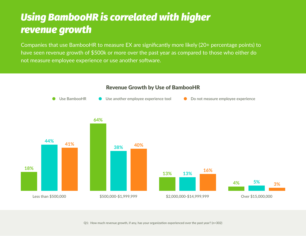### *Using BambooHR is correlated with higher revenue growth*

Companies that use BambooHR to measure EX are significantly more likely (20+ percentage points) to have seen revenue growth of \$500k or more over the past year as compared to those who either do not measure employee experience or use another software.



#### Revenue Growth by Use of BambooHR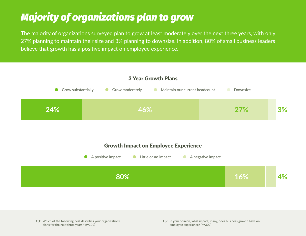## *Majority of organizations plan to grow*

The majority of organizations surveyed plan to grow at least moderately over the next three years, with only 27% planning to maintain their size and 3% planning to downsize. In addition, 80% of small business leaders believe that growth has a positive impact on employee experience.



**Q1: Which of the following best describes your organization's plans for the next three years? (n=302)**

**Q2: In your opinion, what impact, if any, does business growth have on employee experience? (n=302)**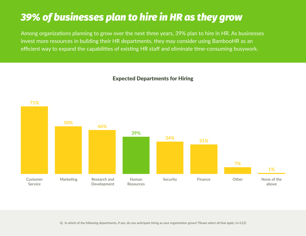### *39% of businesses plan to hire in HR as they grow*

Among organizations planning to grow over the next three years, 39% plan to hire in HR. As businesses invest more resources in building their HR departments, they may consider using BambooHR as an efficient way to expand the capabilities of existing HR staff and eliminate time-consuming busywork.

**Customer Service Marketing Research and Development Human Resources Security Finance Other None of the above 71% 50% 46% 39% 34% 31% 7% 1%**

Expected Departments for Hiring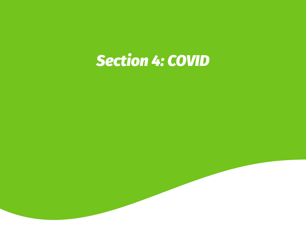## *Section 4: COVID*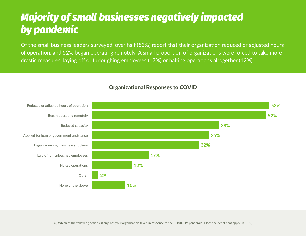### *Majority of small businesses negatively impacted by pandemic*

Of the small business leaders surveyed, over half (53%) report that their organization reduced or adjusted hours of operation, and 52% began operating remotely. A small proportion of organizations were forced to take more drastic measures, laying off or furloughing employees (17%) or halting operations altogether (12%).



#### Organizational Responses to COVID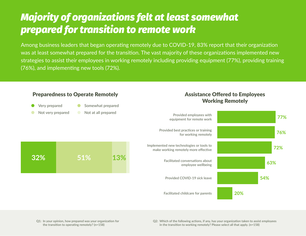### *Majority of organizations felt at least somewhat prepared for transition to remote work*

Among business leaders that began operating remotely due to COVID-19, 83% report that their organization was at least somewhat prepared for the transition. The vast majority of these organizations implemented new strategies to assist their employees in working remotely including providing equipment (77%), providing training (76%), and implementing new tools (72%).



**Q1: In your opinion, how prepared was your organization for the transition to operating remotely? (n=158)**

**Q2: Which of the following actions, if any, has your organization taken to assist employees in the transition to working remotely? Please select all that apply. (n=158)**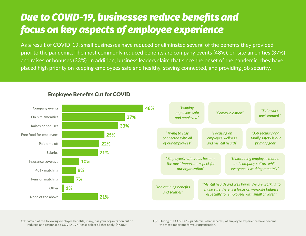### *Due to COVID-19, businesses reduce benefits and focus on key aspects of employee experience*

As a result of COVID-19, small businesses have reduced or eliminated several of the benefits they provided prior to the pandemic. The most commonly reduced benefits are company events (48%), on-site amenities (37%) and raises or bonuses (33%). In addition, business leaders claim that since the onset of the pandemic, they have placed high priority on keeping employees safe and healthy, staying connected, and providing job security.



Employee Benefits Cut for COVID

**Q1: Which of the following employee benefits, if any, has your organization cut or reduced as a response to COVID-19? Please select all that apply. (n=302)**

**Q2: During the COVID-19 pandemic, what aspect(s) of employee experience have become the most important for your organization?**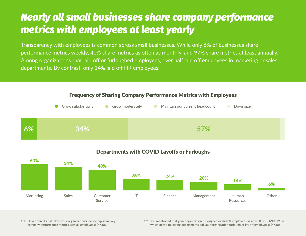### *Nearly all small businesses share company performance metrics with employees at least yearly*

Transparency with employees is common across small businesses. While only 6% of businesses share performance metrics weekly, 40% share metrics as often as monthly, and 97% share metrics at least annually. Among organizations that laid off or furloughed employees, over half laid off employees in marketing or sales departments. By contrast, only 14% laid off HR employees.



Frequency of Sharing Company Performance Metrics with Employees



#### Departments with COVID Layoffs or Furloughs

**Q1: How often, if at all, does your organization's leadership share key company performance metrics with all employees? (n=302)**

**Q2: You mentioned that your organization furloughed or laid off employees as a result of COVID-19. In which of the following departments did your organization furlough or lay off employees? (n=50)**